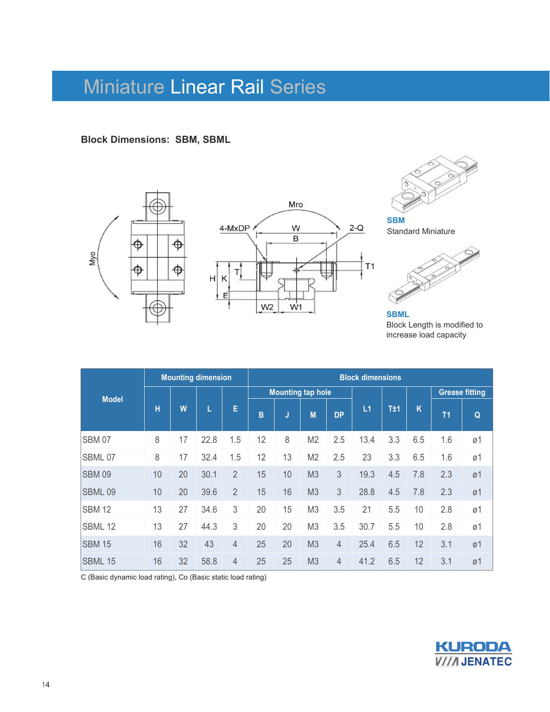**Block Dimensions: SBM, SBML**





**SBM**  Standard Miniature



**SBML**  Block Length is modified to increase load capacity

|               |    |    | <b>Mounting dimension</b> |                | <b>Block dimensions</b> |    |                          |           |      |     |     |                       |    |  |  |
|---------------|----|----|---------------------------|----------------|-------------------------|----|--------------------------|-----------|------|-----|-----|-----------------------|----|--|--|
| <b>Model</b>  |    |    |                           |                |                         |    | <b>Mounting tap hole</b> |           |      |     |     | <b>Grease fitting</b> |    |  |  |
|               | н  | W  |                           | Е              | B                       | J  | M                        | <b>DP</b> | L1   | T±1 | K   | T <sub>1</sub>        | Q  |  |  |
| <b>SBM 07</b> | 8  | 17 | 22.8                      | 1.5            | 12                      | 8  | M <sub>2</sub>           | 2.5       | 13.4 | 3.3 | 6.5 | 1.6                   | ø1 |  |  |
| <b>SBML07</b> | 8  | 17 | 32.4                      | 1.5            | 12                      | 13 | M <sub>2</sub>           | 2.5       | 23   | 3.3 | 6.5 | 1.6                   | ø1 |  |  |
| <b>SBM 09</b> | 10 | 20 | 30.1                      | $\overline{2}$ | 15                      | 10 | M3                       | 3         | 19.3 | 4.5 | 7.8 | 2.3                   | ø1 |  |  |
| SBML09        | 10 | 20 | 39.6                      | $\overline{2}$ | 15                      | 16 | M3                       | 3         | 28.8 | 4.5 | 7.8 | 2.3                   | ø1 |  |  |
| <b>SBM 12</b> | 13 | 27 | 34.6                      | 3              | 20                      | 15 | M <sub>3</sub>           | 3.5       | 21   | 5.5 | 10  | 2.8                   | ø1 |  |  |
| SBML 12       | 13 | 27 | 44.3                      | 3              | 20                      | 20 | M <sub>3</sub>           | 3.5       | 30.7 | 5.5 | 10  | 2.8                   | ø1 |  |  |
| <b>SBM 15</b> | 16 | 32 | 43                        | 4              | 25                      | 20 | M <sub>3</sub>           | 4         | 25.4 | 6.5 | 12  | 3.1                   | ø1 |  |  |
| SBML 15       | 16 | 32 | 58.8                      | 4              | 25                      | 25 | M <sub>3</sub>           | 4         | 41.2 | 6.5 | 12  | 3.1                   | ø1 |  |  |

C (Basic dynamic load rating), Co (Basic static load rating)

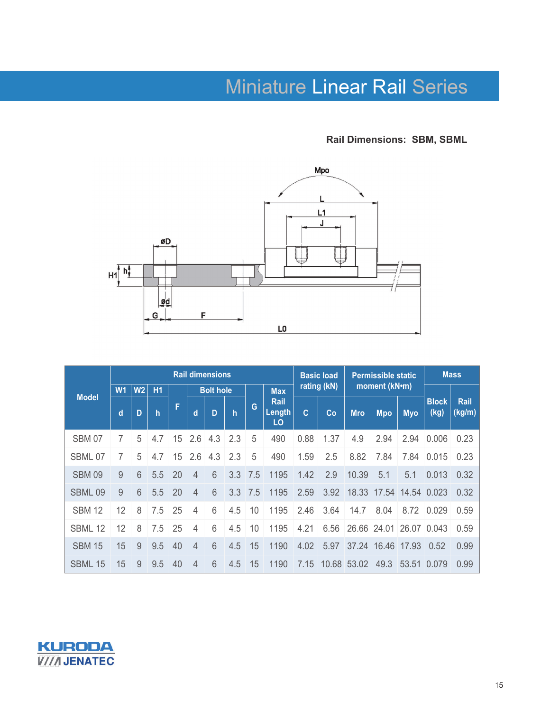**Rail Dimensions: SBM, SBML**



|               |                |                |              |    |                  | <b>Rail dimensions</b> |              |     | <b>Basic load</b>           |              |      | <b>Permissible static</b> | <b>Mass</b> |                         |                      |                |
|---------------|----------------|----------------|--------------|----|------------------|------------------------|--------------|-----|-----------------------------|--------------|------|---------------------------|-------------|-------------------------|----------------------|----------------|
| <b>Model</b>  | W <sub>1</sub> | W <sub>2</sub> | H1           |    | <b>Bolt hole</b> |                        |              |     | <b>Max</b>                  | rating (kN)  |      | moment (kN•m)             |             |                         |                      |                |
|               | d              | D              | $\mathsf{h}$ | F  | d                | D                      | $\mathsf{h}$ | G   | <b>Rail</b><br>Length<br>LO | $\mathbf{C}$ | Co   | <b>Mro</b>                | <b>Mpo</b>  | <b>Myo</b>              | <b>Block</b><br>(kg) | Rail<br>(kg/m) |
| <b>SBM 07</b> | 7              | 5              | 4.7          | 15 | 2.6              | 4.3                    | 2.3          | 5   | 490                         | 0.88         | 1.37 | 4.9                       | 2.94        | 2.94                    | 0.006                | 0.23           |
| SBML 07       | 7              | 5              | 4.7          | 15 | 2.6              | 4.3                    | 2.3          | 5   | 490                         | 1.59         | 2.5  | 8.82                      | 7.84        | 7.84                    | 0.015                | 0.23           |
| <b>SBM 09</b> | 9              | 6              | 5.5          | 20 | $\overline{4}$   | 6                      | 3.3          | 7.5 | 1195                        | 1.42         | 2.9  | 10.39                     | 5.1         | 5.1                     | 0.013                | 0.32           |
| SBML 09       | 9              | 6              | 5.5          | 20 | $\overline{4}$   | 6                      | 3.3          | 7.5 | 1195                        | 2.59         | 3.92 |                           |             | 18.33 17.54 14.54 0.023 |                      | 0.32           |
| <b>SBM 12</b> | 12             | 8              | 7.5          | 25 | 4                | 6                      | 4.5          | 10  | 1195                        | 2.46         | 3.64 | 14.7                      | 8.04        | 8.72                    | 0.029                | 0.59           |
| SBML 12       | 12             | 8              | 7.5          | 25 | 4                | 6                      | 4.5          | 10  | 1195                        | 4.21         | 6.56 |                           | 26.66 24.01 | 26.07                   | 0.043                | 0.59           |
| <b>SBM 15</b> | 15             | 9              | 9.5          | 40 | 4                | 6                      | 4.5          | 15  | 1190                        | 4.02         | 5.97 | 37.24                     | 16.46       | 17.93                   | 0.52                 | 0.99           |
| SBML 15       | 15             | 9              | 9.5          | 40 | 4                | 6                      | 4.5          | 15  | 1190                        | 7.15         |      | 10.68 53.02               | 49.3        |                         | 53.51 0.079          | 0.99           |

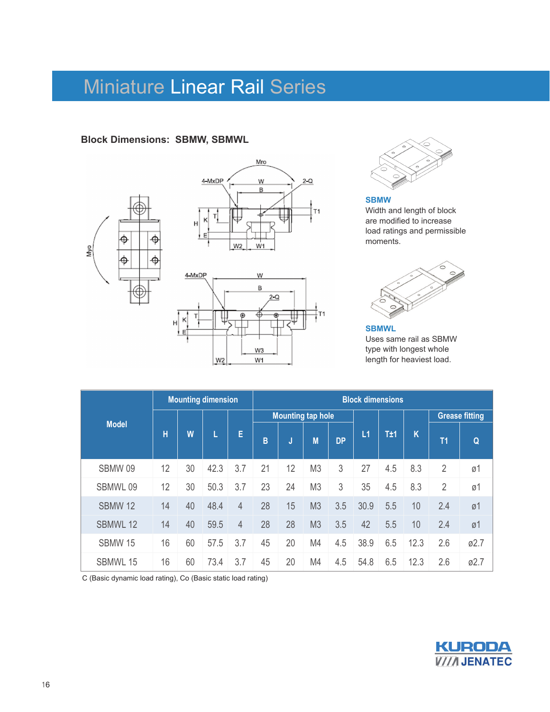#### **Block Dimensions: SBMW, SBMWL**









**SBMW**  Width and length of block are modified to increase load ratings and permissible moments.



**SBMWL**  Uses same rail as SBMW type with longest whole length for heaviest load.

|                 |    |    | <b>Mounting dimension</b> |                | <b>Block dimensions</b> |     |                          |           |      |     |      |                |                       |  |  |
|-----------------|----|----|---------------------------|----------------|-------------------------|-----|--------------------------|-----------|------|-----|------|----------------|-----------------------|--|--|
| <b>Model</b>    |    |    |                           |                |                         |     | <b>Mounting tap hole</b> |           |      |     |      |                | <b>Grease fitting</b> |  |  |
|                 | н  | W  | L                         | E              | B                       | IJ, | M                        | <b>DP</b> | L1   | T±1 | K    | T <sub>1</sub> | Q                     |  |  |
| SBMW 09         | 12 | 30 | 42.3                      | 3.7            | 21                      | 12  | M <sub>3</sub>           | 3         | 27   | 4.5 | 8.3  | $\overline{2}$ | ø1                    |  |  |
| SBMWL 09        | 12 | 30 | 50.3                      | 3.7            | 23                      | 24  | M <sub>3</sub>           | 3         | 35   | 4.5 | 8.3  | $\overline{2}$ | ø1                    |  |  |
| <b>SBMW 12</b>  | 14 | 40 | 48.4                      | $\overline{4}$ | 28                      | 15  | M <sub>3</sub>           | 3.5       | 30.9 | 5.5 | 10   | 2.4            | Ø1                    |  |  |
| <b>SBMWL 12</b> | 14 | 40 | 59.5                      | $\overline{4}$ | 28                      | 28  | M <sub>3</sub>           | 3.5       | 42   | 5.5 | 10   | 2.4            | ø1                    |  |  |
| <b>SBMW 15</b>  | 16 | 60 | 57.5                      | 3.7            | 45                      | 20  | M4                       | 4.5       | 38.9 | 6.5 | 12.3 | 2.6            | Ø2.7                  |  |  |
| SBMWL 15        | 16 | 60 | 73.4                      | 3.7            | 45                      | 20  | M4                       | 4.5       | 54.8 | 6.5 | 12.3 | 2.6            | Ø2.7                  |  |  |

C (Basic dynamic load rating), Co (Basic static load rating)